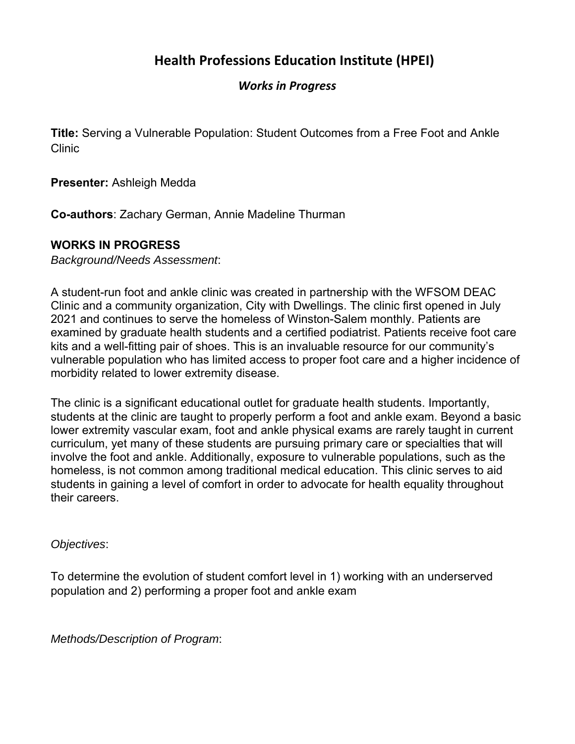# **Health Professions Education Institute (HPEI)**

#### *Works in Progress*

**Title:** Serving a Vulnerable Population: Student Outcomes from a Free Foot and Ankle Clinic

**Presenter:** Ashleigh Medda

**Co-authors**: Zachary German, Annie Madeline Thurman

## **WORKS IN PROGRESS**

*Background/Needs Assessment*:

A student-run foot and ankle clinic was created in partnership with the WFSOM DEAC Clinic and a community organization, City with Dwellings. The clinic first opened in July 2021 and continues to serve the homeless of Winston-Salem monthly. Patients are examined by graduate health students and a certified podiatrist. Patients receive foot care kits and a well-fitting pair of shoes. This is an invaluable resource for our community's vulnerable population who has limited access to proper foot care and a higher incidence of morbidity related to lower extremity disease.

The clinic is a significant educational outlet for graduate health students. Importantly, students at the clinic are taught to properly perform a foot and ankle exam. Beyond a basic lower extremity vascular exam, foot and ankle physical exams are rarely taught in current curriculum, yet many of these students are pursuing primary care or specialties that will involve the foot and ankle. Additionally, exposure to vulnerable populations, such as the homeless, is not common among traditional medical education. This clinic serves to aid students in gaining a level of comfort in order to advocate for health equality throughout their careers.

## *Objectives*:

To determine the evolution of student comfort level in 1) working with an underserved population and 2) performing a proper foot and ankle exam

*Methods/Description of Program*: